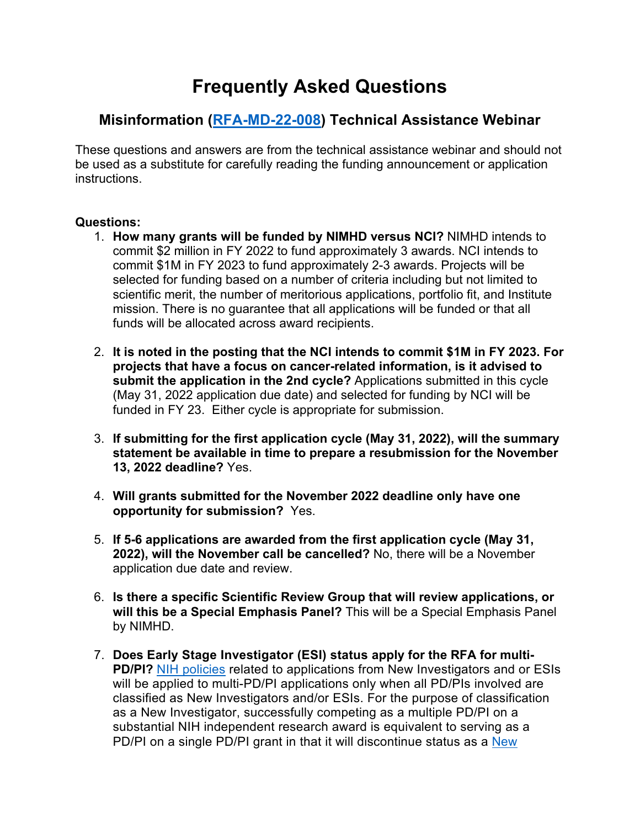## **Frequently Asked Questions**

## **Misinformation ([RFA-MD-22-008](https://grants.nih.gov/grants/guide/rfa-files/RFA-OD-22-008.html)) Technical Assistance Webinar**

These questions and answers are from the technical assistance webinar and should not be used as a substitute for carefully reading the funding announcement or application instructions.

## **Questions:**

- 1. **How many grants will be funded by NIMHD versus NCI?** NIMHD intends to commit \$2 million in FY 2022 to fund approximately 3 awards. NCI intends to commit \$1M in FY 2023 to fund approximately 2-3 awards. Projects will be selected for funding based on a number of criteria including but not limited to scientific merit, the number of meritorious applications, portfolio fit, and Institute mission. There is no guarantee that all applications will be funded or that all funds will be allocated across award recipients.
- 2. **It is noted in the posting that the NCI intends to commit \$1M in FY 2023. For projects that have a focus on cancer-related information, is it advised to submit the application in the 2nd cycle?** Applications submitted in this cycle (May 31, 2022 application due date) and selected for funding by NCI will be funded in FY 23. Either cycle is appropriate for submission.
- 3. **If submitting for the first application cycle (May 31, 2022), will the summary statement be available in time to prepare a resubmission for the November 13, 2022 deadline?** Yes.
- 4. **Will grants submitted for the November 2022 deadline only have one opportunity for submission?** Yes.
- 5. **If 5-6 applications are awarded from the first application cycle (May 31, 2022), will the November call be cancelled?** No, there will be a November application due date and review.
- 6. **Is there a specific Scientific Review Group that will review applications, or will this be a Special Emphasis Panel?** This will be a Special Emphasis Panel by NIMHD.
- 7. **Does Early Stage Investigator (ESI) status apply for the RFA for multi-PD/PI?** [NIH policies](https://grants.nih.gov/policy/early-stage/index.htm) related to applications from New Investigators and or ESIs will be applied to multi-PD/PI applications only when all PD/PIs involved are classified as New Investigators and/or ESIs. For the purpose of classification as a New Investigator, successfully competing as a multiple PD/PI on a substantial NIH independent research award is equivalent to serving as a PD/PI on a single PD/PI grant in that it will discontinue status as a [New](https://grants.nih.gov/policy/early-stage/index.htm)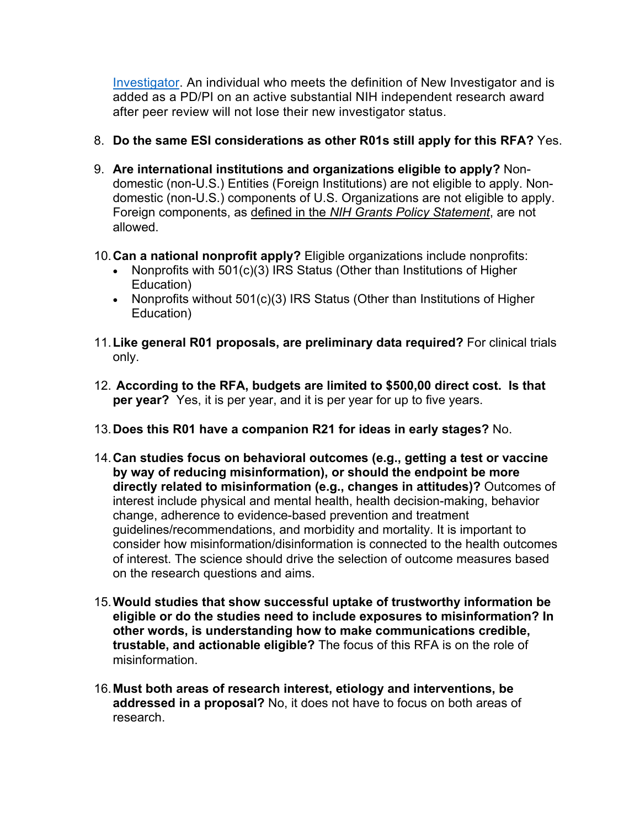[Investigator.](https://grants.nih.gov/policy/early-stage/index.htm) An individual who meets the definition of New Investigator and is added as a PD/PI on an active substantial NIH independent research award after peer review will not lose their new investigator status.

- 8. **Do the same ESI considerations as other R01s still apply for this RFA?** Yes.
- 9. **Are international institutions and organizations eligible to apply?** Nondomestic (non-U.S.) Entities (Foreign Institutions) are not eligible to apply. Nondomestic (non-U.S.) components of U.S. Organizations are not eligible to apply. Foreign components, as defined in the *NIH Grants Policy Statement*, are not allowed.
- 10.**Can a national nonprofit apply?** Eligible organizations include nonprofits:
	- Nonprofits with 501(c)(3) IRS Status (Other than Institutions of Higher Education)
	- Nonprofits without 501(c)(3) IRS Status (Other than Institutions of Higher Education)
- 11.**Like general R01 proposals, are preliminary data required?** For clinical trials only.
- 12. **According to the RFA, budgets are limited to \$500,00 direct cost. Is that per year?** Yes, it is per year, and it is per year for up to five years.
- 13.**Does this R01 have a companion R21 for ideas in early stages?** No.
- 14.**Can studies focus on behavioral outcomes (e.g., getting a test or vaccine by way of reducing misinformation), or should the endpoint be more directly related to misinformation (e.g., changes in attitudes)?** Outcomes of interest include physical and mental health, health decision-making, behavior change, adherence to evidence-based prevention and treatment guidelines/recommendations, and morbidity and mortality. It is important to consider how misinformation/disinformation is connected to the health outcomes of interest. The science should drive the selection of outcome measures based on the research questions and aims.
- 15.**Would studies that show successful uptake of trustworthy information be eligible or do the studies need to include exposures to misinformation? In other words, is understanding how to make communications credible, trustable, and actionable eligible?** The focus of this RFA is on the role of misinformation.
- 16.**Must both areas of research interest, etiology and interventions, be addressed in a proposal?** No, it does not have to focus on both areas of research.